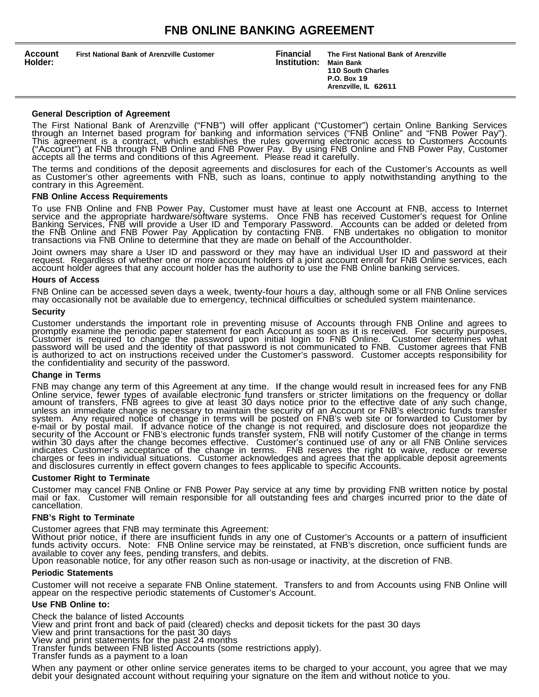| <b>Account</b><br><b>First National Bank of Arenzville Customer</b><br>Holder: | <b>Financial</b><br>Institution: | The First National Bank of Arenzville<br><b>Main Bank</b><br>110 South Charles<br>P.O. Box 19<br>Arenzville, IL 62611 |  |
|--------------------------------------------------------------------------------|----------------------------------|-----------------------------------------------------------------------------------------------------------------------|--|
|--------------------------------------------------------------------------------|----------------------------------|-----------------------------------------------------------------------------------------------------------------------|--|

# **General Description of Agreement**

The First National Bank of Arenzville ("FNB") will offer applicant ("Customer") certain Online Banking Services through an Internet based program for banking and information services ("FNB Online" and "FNB Power Pay"). This agreement is a contract, which establishes the rules governing electronic access to Customers Accounts ("Account") at FNB through FNB Online and FNB Power Pay. By using FNB Online and FNB Power Pay, Customer accepts all the terms and conditions of this Agreement. Please read it carefully.

The terms and conditions of the deposit agreements and disclosures for each of the Customer's Accounts as well as Customer's other agreements with FNB, such as loans, continue to apply notwithstanding anything to the contrary in this Agreement.

#### **FNB Online Access Requirements**

To use FNB Online and FNB Power Pay, Customer must have at least one Account at FNB, access to Internet service and the appropriate hardware/software systems. Once FNB has received Customer's request for Online Banking Services, FNB will provide a User ID and Temporary Password. Accounts can be added or deleted from the FNB Online and FNB Power Pay Application by contacting FNB. FNB undertakes no obligation to monitor transactions via FNB Online to determine that they are made on behalf of the Accountholder.

Joint owners may share a User ID and password or they may have an individual User ID and password at their request. Regardless of whether one or more account holders of a joint account enroll for FNB Online services, each account holder agrees that any account holder has the authority to use the FNB Online banking services.

#### **Hours of Access**

FNB Online can be accessed seven days a week, twenty-four hours a day, although some or all FNB Online services may occasionally not be available due to emergency, technical difficulties or scheduled system maintenance.

#### **Security**

Customer understands the important role in preventing misuse of Accounts through FNB Online and agrees to promptly examine the periodic paper statement for each Account as soon as it is received. For security purposes, Customer is required to change the password upon initial login to FNB Online. Customer determines what password will be used and the identity of that password is not communicated to FNB. Customer agrees that FNB is authorized to act on instructions received under the Customer's password. Customer accepts responsibility for the confidentiality and security of the password.

# **Change in Terms**

FNB may change any term of this Agreement at any time. If the change would result in increased fees for any FNB Online service, fewer types of available electronic fund transfers or stricter limitations on the frequency or dollar amount of transfers, FNB agrees to give at least 30 days notice prior to the effective date of any such change, unless an immediate change is necessary to maintain the security of an Account or FNB's electronic funds transfer system. Any required notice of change in terms will be posted on FNB's web site or forwarded to Customer by e-mail or by postal mail. If advance notice of the change is not required, and disclosure does not jeopardize the security of the Account or FNB's electronic funds transfer system, FNB will notify Customer of the change in terms within 30 days after the change becomes effective. Customer's continued use of any or all FNB Online services indicates Customer's acceptance of the change in terms. FNB reserves the right to waive, reduce or reverse charges or fees in individual situations. Customer acknowledges and agrees that the applicable deposit agreements and disclosures currently in effect govern changes to fees applicable to specific Accounts.

# **Customer Right to Terminate**

Customer may cancel FNB Online or FNB Power Pay service at any time by providing FNB written notice by postal mail or fax. Customer will remain responsible for all outstanding fees and charges incurred prior to the date of cancellation.

# **FNB's Right to Terminate**

Customer agrees that FNB may terminate this Agreement:

Without prior notice, if there are insufficient funds in any one of Customer's Accounts or a pattern of insufficient funds activity occurs. Note: FNB Online service may be reinstated, at FNB's discretion, once sufficient funds are available to cover any fees, pending transfers, and debits.

Upon reasonable notice, for any other reason such as non-usage or inactivity, at the discretion of FNB.

#### **Periodic Statements**

Customer will not receive a separate FNB Online statement. Transfers to and from Accounts using FNB Online will appear on the respective periodic statements of Customer's Account.

# **Use FNB Online to:**

Check the balance of listed Accounts View and print front and back of paid (cleared) checks and deposit tickets for the past 30 days View and print transactions for the past 30 days View and print statements for the past 24 months Transfer funds between FNB listed Accounts (some restrictions apply). Transfer funds as a payment to a loan

When any payment or other online service generates items to be charged to your account, you agree that we may debit your designated account without requiring your signature on the item and without notice to you.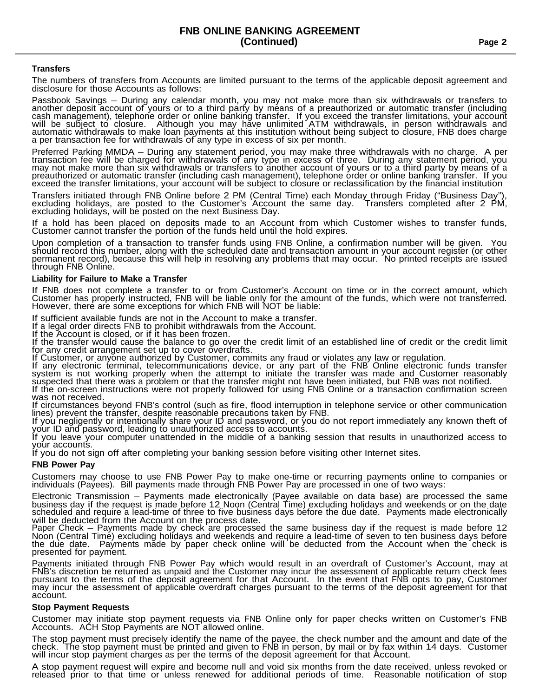# **Transfers**

The numbers of transfers from Accounts are limited pursuant to the terms of the applicable deposit agreement and disclosure for those Accounts as follows:

Passbook Savings – During any calendar month, you may not make more than six withdrawals or transfers to another deposit account of yours or to a third party by means of a preauthorized or automatic transfer (including cash management), telephone order or online banking transfer. If you exceed the transfer limitations, your account will be subject to closure. Although you may have unlimited ATM withdrawals, in person withdrawals and automatic withdrawals to make loan payments at this institution without being subject to closure, FNB does charge a per transaction fee for withdrawals of any type in excess of six per month.

Preferred Parking MMDA – During any statement period, you may make three withdrawals with no charge. A per transaction fee will be charged for withdrawals of any type in excess of three. During any statement period, you may not make more than six withdrawals or transfers to another account of yours or to a third party by means of a preauthorized or automatic transfer (including cash management), telephone order or online banking transfer. If you exceed the transfer limitations, your account will be subject to closure or reclassification by the financial institution

Transfers initiated through FNB Online before 2 PM (Central Time) each Monday through Friday ("Business Day"), excluding holidays, are posted to the Customer's Account the same day. Transfers completed after 2 PM, excluding holidays, will be posted on the next Business Day.

If a hold has been placed on deposits made to an Account from which Customer wishes to transfer funds, Customer cannot transfer the portion of the funds held until the hold expires.

Upon completion of a transaction to transfer funds using FNB Online, a confirmation number will be given. You should record this number, along with the scheduled date and transaction amount in your account register (or other permanent record), because this will help in resolving any problems that may occur. No printed receipts are issued through FNB Online.

# **Liability for Failure to Make a Transfer**

If FNB does not complete a transfer to or from Customer's Account on time or in the correct amount, which Customer has properly instructed, FNB will be liable only for the amount of the funds, which were not transferred. However, there are some exceptions for which FNB will NOT be liable:

If sufficient available funds are not in the Account to make a transfer.

If a legal order directs FNB to prohibit withdrawals from the Account.

If the Account is closed, or if it has been frozen.

If the transfer would cause the balance to go over the credit limit of an established line of credit or the credit limit for any credit arrangement set up to cover overdrafts.

If Customer, or anyone authorized by Customer, commits any fraud or violates any law or regulation.

If any electronic terminal, telecommunications device, or any part of the FNB Online electronic funds transfer system is not working properly when the attempt to initiate the transfer was made and Customer reasonably suspected that there was a problem or that the transfer might not have been initiated, but FNB was not notified. If the on-screen instructions were not properly followed for using FNB Online or a transaction confirmation screen

was not received.

If circumstances beyond FNB's control (such as fire, flood interruption in telephone service or other communication lines) prevent the transfer, despite reasonable precautions taken by FNB.

If you negligently or intentionally share your ID and password, or you do not report immediately any known theft of your ID and password, leading to unauthorized access to accounts.

If you leave your computer unattended in the middle of a banking session that results in unauthorized access to your accounts.

If you do not sign off after completing your banking session before visiting other Internet sites.

# **FNB Power Pay**

Customers may choose to use FNB Power Pay to make one-time or recurring payments online to companies or individuals (Payees). Bill payments made through FNB Power Pay are processed in one of two ways:

Electronic Transmission – Payments made electronically (Payee available on data base) are processed the same business day if the request is made before 12 Noon (Central Time) excluding holidays and weekends or on the date scheduled and require a lead-time of three to five business days before the due date. Payments made electronically will be deducted from the Account on the process date.

Paper Check – Payments made by check are processed the same business day if the request is made before 12 Noon (Central Time) excluding holidays and weekends and require a lead-time of seven to ten business days before the due date. Payments made by paper check online will be deducted from the Account when the check is presented for payment.

Payments initiated through FNB Power Pay which would result in an overdraft of Customer's Account, may at FNB's discretion be returned as unpaid and the Customer may incur the assessment of applicable return check fees pursuant to the terms of the deposit agreement for that Account. In the event that FNB opts to pay, Customer may incur the assessment of applicable overdraft charges pursuant to the terms of the deposit agreement for that account.

# **Stop Payment Requests**

Customer may initiate stop payment requests via FNB Online only for paper checks written on Customer's FNB Accounts. ACH Stop Payments are NOT allowed online.

The stop payment must precisely identify the name of the payee, the check number and the amount and date of the check. The stop payment must be printed and given to FNB in person, by mail or by fax within 14 days. Customer will incur stop payment charges as per the terms of the deposit agreement for that Account.

A stop payment request will expire and become null and void six months from the date received, unless revoked or released prior to that time or unless renewed for additional periods of time. Reasonable notification of stop